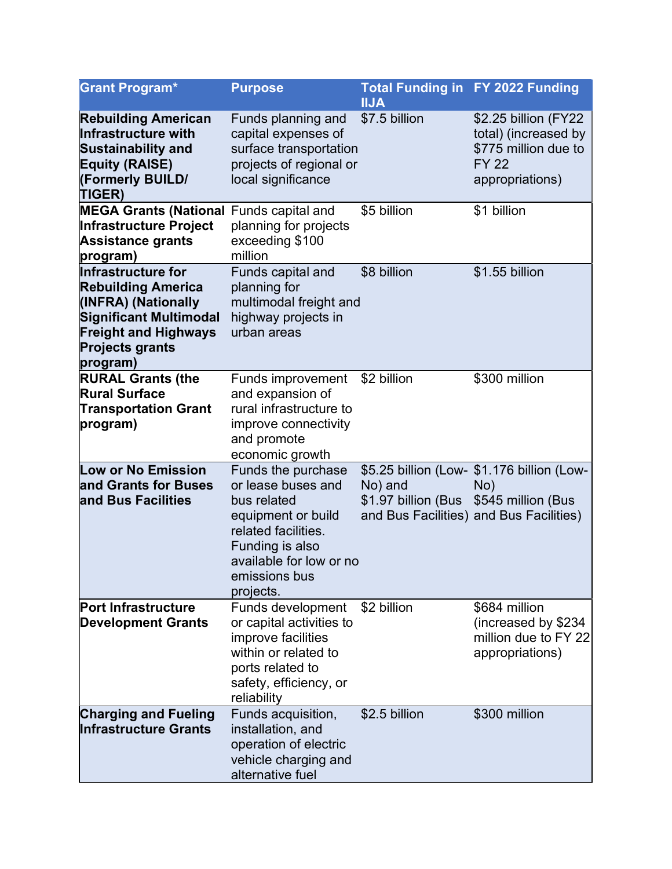| <b>Grant Program*</b>                                                                                                                                                        | <b>Purpose</b>                                                                                                                                                                   | <b>Total Funding in FY 2022 Funding</b><br><b>IIJA</b> |                                                                                                                    |
|------------------------------------------------------------------------------------------------------------------------------------------------------------------------------|----------------------------------------------------------------------------------------------------------------------------------------------------------------------------------|--------------------------------------------------------|--------------------------------------------------------------------------------------------------------------------|
| <b>Rebuilding American</b><br>Infrastructure with<br><b>Sustainability and</b><br><b>Equity (RAISE)</b><br>(Formerly BUILD/<br><b>TIGER)</b>                                 | Funds planning and<br>capital expenses of<br>surface transportation<br>projects of regional or<br>local significance                                                             | \$7.5 billion                                          | \$2.25 billion (FY22<br>total) (increased by<br>\$775 million due to<br><b>FY 22</b><br>appropriations)            |
| <b>MEGA Grants (National Funds capital and</b><br>Infrastructure Project<br><b>Assistance grants</b><br>program)                                                             | planning for projects<br>exceeding \$100<br>million                                                                                                                              | \$5 billion                                            | \$1 billion                                                                                                        |
| Infrastructure for<br><b>Rebuilding America</b><br>(INFRA) (Nationally<br><b>Significant Multimodal</b><br><b>Freight and Highways</b><br><b>Projects grants</b><br>program) | Funds capital and<br>planning for<br>multimodal freight and<br>highway projects in<br>urban areas                                                                                | \$8 billion                                            | \$1.55 billion                                                                                                     |
| <b>RURAL Grants (the</b><br><b>Rural Surface</b><br><b>Transportation Grant</b><br>program)                                                                                  | <b>Funds improvement</b><br>and expansion of<br>rural infrastructure to<br>improve connectivity<br>and promote<br>economic growth                                                | \$2 billion                                            | \$300 million                                                                                                      |
| <b>Low or No Emission</b><br>and Grants for Buses<br>and Bus Facilities                                                                                                      | Funds the purchase<br>or lease buses and<br>bus related<br>equipment or build<br>related facilities.<br>Funding is also<br>available for low or no<br>emissions bus<br>projects. | No) and<br>\$1.97 billion (Bus                         | \$5.25 billion (Low- \$1.176 billion (Low-<br>No)<br>\$545 million (Bus<br>and Bus Facilities) and Bus Facilities) |
| <b>Port Infrastructure</b><br><b>Development Grants</b>                                                                                                                      | <b>Funds development</b><br>or capital activities to<br>improve facilities<br>within or related to<br>ports related to<br>safety, efficiency, or<br>reliability                  | \$2 billion                                            | \$684 million<br>(increased by \$234<br>million due to FY 22<br>appropriations)                                    |
| <b>Charging and Fueling</b><br><b>Infrastructure Grants</b>                                                                                                                  | Funds acquisition,<br>installation, and<br>operation of electric<br>vehicle charging and<br>alternative fuel                                                                     | \$2.5 billion                                          | \$300 million                                                                                                      |